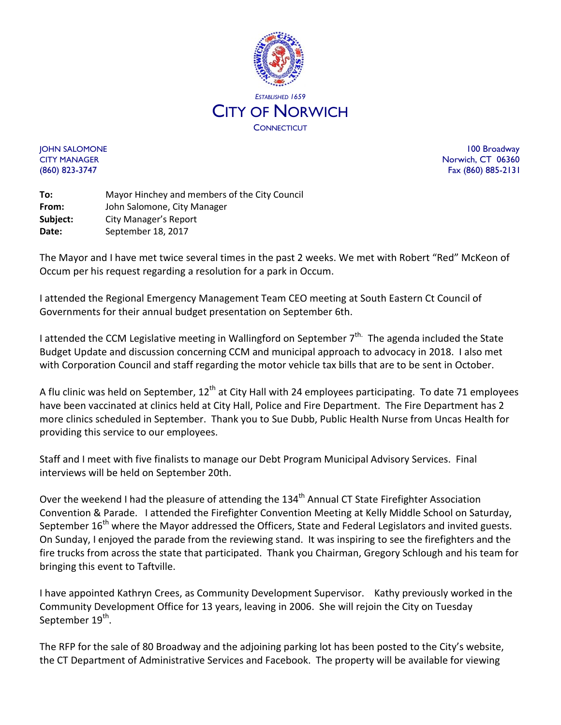

JOHN SALOMONE 100 Broadway CITY MANAGER Norwich, CT 06360 (860) 823-3747 Fax (860) 885-2131

**To:** Mayor Hinchey and members of the City Council **From:** John Salomone, City Manager **Subject:** City Manager's Report Date: September 18, 2017

The Mayor and I have met twice several times in the past 2 weeks. We met with Robert "Red" McKeon of Occum per his request regarding a resolution for a park in Occum.

I attended the Regional Emergency Management Team CEO meeting at South Eastern Ct Council of Governments for their annual budget presentation on September 6th.

I attended the CCM Legislative meeting in Wallingford on September 7<sup>th.</sup> The agenda included the State Budget Update and discussion concerning CCM and municipal approach to advocacy in 2018. I also met with Corporation Council and staff regarding the motor vehicle tax bills that are to be sent in October.

A flu clinic was held on September, 12<sup>th</sup> at City Hall with 24 employees participating. To date 71 employees have been vaccinated at clinics held at City Hall, Police and Fire Department. The Fire Department has 2 more clinics scheduled in September. Thank you to Sue Dubb, Public Health Nurse from Uncas Health for providing this service to our employees.

Staff and I meet with five finalists to manage our Debt Program Municipal Advisory Services. Final interviews will be held on September 20th.

Over the weekend I had the pleasure of attending the 134<sup>th</sup> Annual CT State Firefighter Association Convention & Parade. I attended the Firefighter Convention Meeting at Kelly Middle School on Saturday, September  $16<sup>th</sup>$  where the Mayor addressed the Officers, State and Federal Legislators and invited guests. On Sunday, I enjoyed the parade from the reviewing stand. It was inspiring to see the firefighters and the fire trucks from across the state that participated. Thank you Chairman, Gregory Schlough and his team for bringing this event to Taftville.

I have appointed Kathryn Crees, as Community Development Supervisor. Kathy previously worked in the Community Development Office for 13 years, leaving in 2006. She will rejoin the City on Tuesday September 19<sup>th</sup>.

The RFP for the sale of 80 Broadway and the adjoining parking lot has been posted to the City's website, the CT Department of Administrative Services and Facebook. The property will be available for viewing